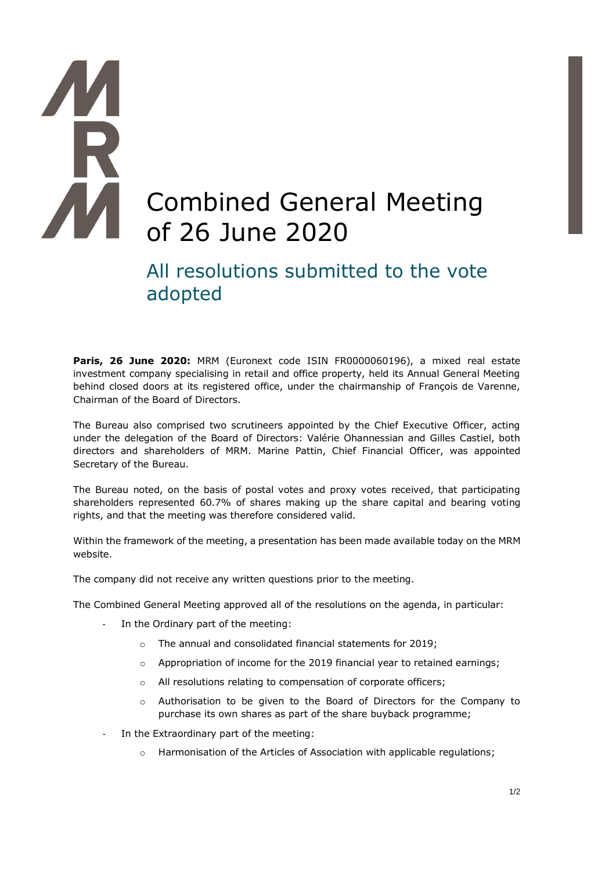# Ŕ Combined General Meeting of 26 June 2020

# All resolutions submitted to the vote adopted

**Paris, 26 June 2020:** MRM (Euronext code ISIN FR0000060196), a mixed real estate investment company specialising in retail and office property, held its Annual General Meeting behind closed doors at its registered office, under the chairmanship of François de Varenne, Chairman of the Board of Directors.

The Bureau also comprised two scrutineers appointed by the Chief Executive Officer, acting under the delegation of the Board of Directors: Valérie Ohannessian and Gilles Castiel, both directors and shareholders of MRM. Marine Pattin, Chief Financial Officer, was appointed Secretary of the Bureau.

The Bureau noted, on the basis of postal votes and proxy votes received, that participating shareholders represented 60.7% of shares making up the share capital and bearing voting rights, and that the meeting was therefore considered valid.

Within the framework of the meeting, a presentation has been made available today on the MRM website.

The company did not receive any written questions prior to the meeting.

The Combined General Meeting approved all of the resolutions on the agenda, in particular:

- In the Ordinary part of the meeting:
	- o The annual and consolidated financial statements for 2019;
	- $\circ$  Appropriation of income for the 2019 financial year to retained earnings;
	- o All resolutions relating to compensation of corporate officers;
	- o Authorisation to be given to the Board of Directors for the Company to purchase its own shares as part of the share buyback programme;
- In the Extraordinary part of the meeting:
	- o Harmonisation of the Articles of Association with applicable regulations;